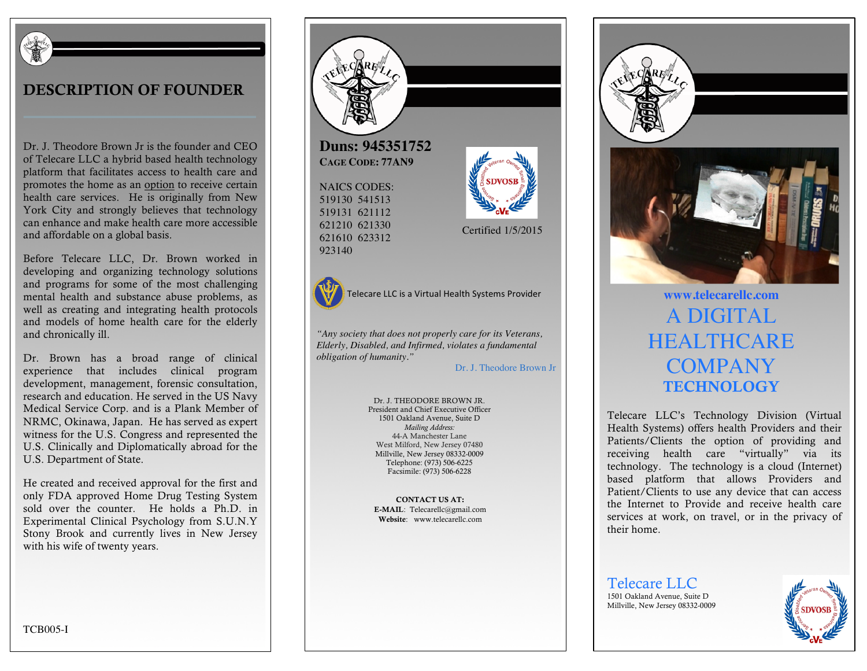

#### DESCRIPTION OF FOUNDER

Dr. J. Theodore Brown Jr is the founder and CEO of Telecare LLC a hybrid based health technology platform that facilitates access to health care and promotes the home as an option to receive certain health care services. He is originally from New York City and strongly believes that technology can enhance and make health care more accessible and affordable on a global basis.

Before Telecare LLC, Dr. Brown worked in developing and organizing technology solutions and programs for some of the most challenging mental health and substance abuse problems, as well as creating and integrating health protocols and models of home health care for the elderly and chronically ill.

Dr. Brown has a broad range of clinical experience that includes clinical program development, management, forensic consultation, research and education. He served in the US Navy Medical Service Corp. and is a Plank Member of NRMC, Okinawa, Japan. He has served as expert witness for the U.S. Congress and represented the U.S. Clinically and Diplomatically abroad for the U.S. Department of State.

He created and received approval for the first and only FDA approved Home Drug Testing System sold over the counter. He holds a Ph.D. in Experimental Clinical Psychology from S.U.N.Y Stony Brook and currently lives in New Jersey with his wife of twenty years.



Certified 1/5/2015

923140

621210 621330 621610 623312

Telecare LLC is a Virtual Health Systems Provider **WWW.telecarellc.com** 

*"Any society that does not properly care for its Veterans, Elderly, Disabled, and Infirmed, violates a fundamental obligation of humanity."*

Dr. J. Theodore Brown Jr

Dr. J. THEODORE BROWN JR. President and Chief Executive Officer 1501 Oakland Avenue, Suite D *Mailing Address:* 44-A Manchester Lane West Milford, New Jersey 07480 Millville, New Jersey 08332-0009 Telephone: (973) 506-6225 Facsimile: (973) 506-6228

CONTACT US AT: E-MAIL: Telecarellc@gmail.com Website: www.telecarellc.com





# A DIGITAL **HEALTHCARE** COMPANY **TECHNOLOGY**

Telecare LLC's Technology Division (Virtual Health Systems) offers health Providers and their Patients/Clients the option of providing and receiving health care "virtually" via its technology. The technology is a cloud (Internet) based platform that allows Providers and Patient/Clients to use any device that can access the Internet to Provide and receive health care services at work, on travel, or in the privacy of their home.

Telecare LLC 1501 Oakland Avenue, Suite D Millville, New Jersey 08332-0009



TCB005-I